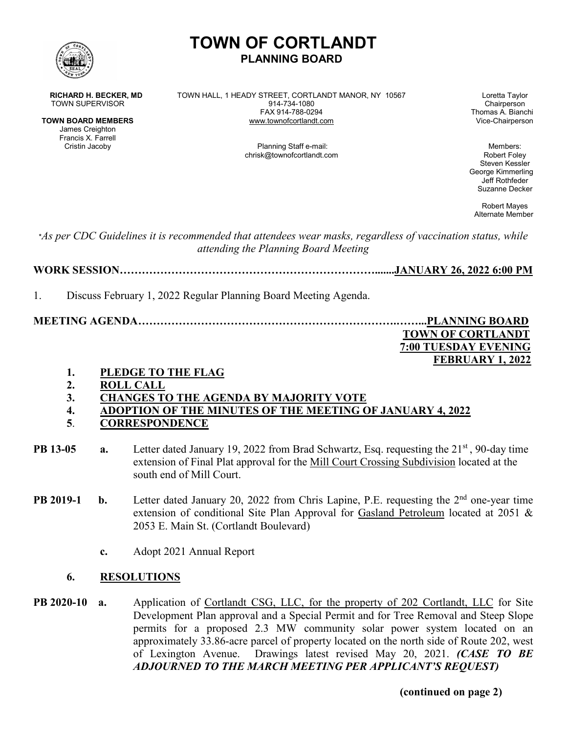

# **TOWN OF CORTLANDT PLANNING BOARD**

James Creighton Francis X. Farrell

**RICHARD H. BECKER, MD** TOWN HALL, 1 HEADY STREET, CORTLANDT MANOR, NY 10567 Loretta Taylor<br>TOWN SUPERVISOR Chairperson TOWN SUPERVISOR 1914-734-1080<br>FAX 914-788-0294 **TOWN BOARD MEMBERS WWW.townofcortlandt.com** 

Thomas A. Bianchi<br>Vice-Chairperson

Planning Staff e-mail: Members: Members: Members: Members: Members: Members: Members: Members: Members:  $\blacksquare$ chrisk@townofcortlandt.com Robert Foley

Steven Kessler George Kimmerling Jeff Rothfeder Suzanne Decker

Robert Mayes Alternate Member

\**As per CDC Guidelines it is recommended that attendees wear masks, regardless of vaccination status, while attending the Planning Board Meeting*

**WORK SESSION…………………………………………………………….......JANUARY 26, 2022 6:00 PM**

1. Discuss February 1, 2022 Regular Planning Board Meeting Agenda.

**MEETING AGENDA…………………………………………………………….……...PLANNING BOARD TOWN OF CORTLANDT 7:00 TUESDAY EVENING FEBRUARY 1, 2022**

- **1. PLEDGE TO THE FLAG**
- **2. ROLL CALL**
- **3. CHANGES TO THE AGENDA BY MAJORITY VOTE**
- **4. ADOPTION OF THE MINUTES OF THE MEETING OF JANUARY 4, 2022**
- **5**. **CORRESPONDENCE**
- **PB 13-05 a.** Letter dated January 19, 2022 from Brad Schwartz, Esq. requesting the 21<sup>st</sup>, 90-day time extension of Final Plat approval for the Mill Court Crossing Subdivision located at the south end of Mill Court.
- **PB 2019-1** b. Letter dated January 20, 2022 from Chris Lapine, P.E. requesting the 2<sup>nd</sup> one-year time extension of conditional Site Plan Approval for Gasland Petroleum located at 2051 & 2053 E. Main St. (Cortlandt Boulevard)
	- **c.** Adopt 2021 Annual Report
	- **6. RESOLUTIONS**
- **PB 2020-10 a.** Application of Cortlandt CSG, LLC, for the property of 202 Cortlandt, LLC for Site Development Plan approval and a Special Permit and for Tree Removal and Steep Slope permits for a proposed 2.3 MW community solar power system located on an approximately 33.86-acre parcel of property located on the north side of Route 202, west of Lexington Avenue. Drawings latest revised May 20, 2021. *(CASE TO BE ADJOURNED TO THE MARCH MEETING PER APPLICANT'S REQUEST)*

**(continued on page 2)**